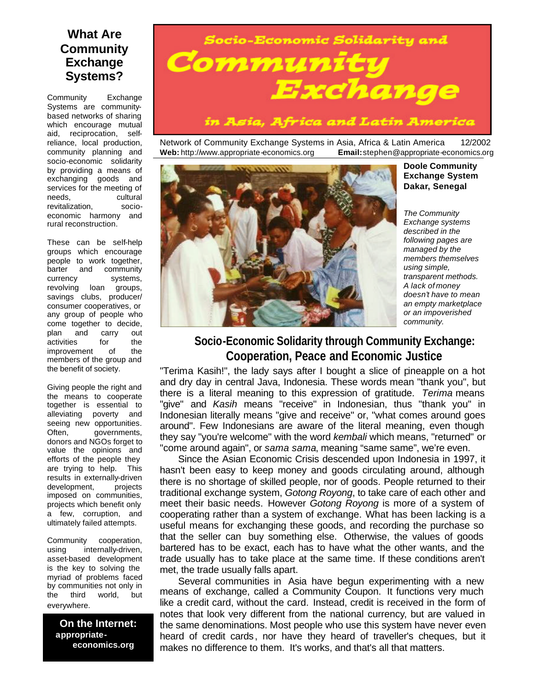## **What Are Community Exchange Systems?**

Community Exchange Systems are communitybased networks of sharing which encourage mutual aid, reciprocation, selfreliance, local production, community planning and socio-economic solidarity by providing a means of exchanging goods and services for the meeting of needs, cultural revitalization, socioeconomic harmony and rural reconstruction.

These can be self-help groups which encourage people to work together, barter and community currency systems, revolving loan groups, savings clubs, producer/ consumer cooperatives, or any group of people who come together to decide, plan and carry out activities for the improvement of the members of the group and the benefit of society.

Giving people the right and the means to cooperate together is essential to alleviating poverty and seeing new opportunities. Often, governments, donors and NGOs forget to value the opinions and efforts of the people they are trying to help. This results in externally-driven development, projects imposed on communities, projects which benefit only a few, corruption, and ultimately failed attempts.

Community cooperation, using internally-driven, asset-based development is the key to solving the myriad of problems faced by communities not only in the third world, but everywhere.

**On the Internet: appropriate economics.org**

# Socio-Economic Solidarity and Communit Exchange

in Asia, Africa and Latin America

Network of Community Exchange Systems in Asia, Africa & Latin America 12/2002 **Web:** http://www.appropriate-economics.org **Email:**stephen@appropriate-economics.org



**Doole Community Exchange System Dakar, Senegal**

*The Community Exchange systems described in the following pages are managed by the members themselves using simple, transparent methods. A lack of money doesn't have to mean an empty marketplace or an impoverished community.*

# **Socio-Economic Solidarity through Community Exchange: Cooperation, Peace and Economic Justice**

"Terima Kasih!", the lady says after I bought a slice of cineapple on a hot and dry day in central Java, Indonesia. These words mean "thank you", but there is a literal meaning to this expression of gratitude. *Terima* means "give" and *Kasih* means "receive" in Indonesian, thus "thank you" in Indonesian literally means "give and receive" or, "what comes around goes around". Few Indonesians are aware of the literal meaning, even though they say "you're welcome" with the word *kembali* which means, "returned" or "come around again", or *sama sama*, meaning "same same", we're even.

 Since the Asian Economic Crisis descended upon Indonesia in 1997, it hasn't been easy to keep money and goods circulating around, although there is no shortage of skilled people, nor of goods. People returned to their traditional exchange system, *Gotong Royong*, to take care of each other and meet their basic needs. However *Gotong Royong* is more of a system of cooperating rather than a system of exchange. What has been lacking is a useful means for exchanging these goods, and recording the purchase so that the seller can buy something else. Otherwise, the values of goods bartered has to be exact, each has to have what the other wants, and the trade usually has to take place at the same time. If these conditions aren't met, the trade usually falls apart.

 Several communities in Asia have begun experimenting with a new means of exchange, called a Community Coupon. It functions very much like a credit card, without the card. Instead, credit is received in the form of notes that look very different from the national currency, but are valued in the same denominations. Most people who use this system have never even heard of credit cards, nor have they heard of traveller's cheques, but it makes no difference to them. It's works, and that's all that matters.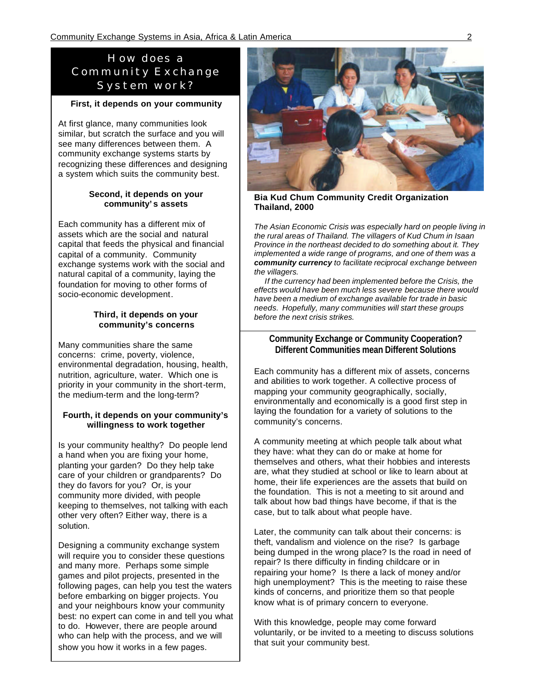## *How does a Community Exchange System work?*

### **First, it depends on your community**

At first glance, many communities look similar, but scratch the surface and you will see many differences between them. A community exchange systems starts by recognizing these differences and designing a system which suits the community best.

### **Second, it depends on your community' s assets**

Each community has a different mix of assets which are the social and natural capital that feeds the physical and financial capital of a community. Community exchange systems work with the social and natural capital of a community, laying the foundation for moving to other forms of socio-economic development.

### **Third, it depends on your community's concerns**

Many communities share the same concerns: crime, poverty, violence, environmental degradation, housing, health, nutrition, agriculture, water. Which one is priority in your community in the short-term, the medium-term and the long-term?

### **Fourth, it depends on your community's willingness to work together**

Is your community healthy? Do people lend a hand when you are fixing your home, planting your garden? Do they help take care of your children or grandparents? Do they do favors for you? Or, is your community more divided, with people keeping to themselves, not talking with each other very often? Either way, there is a solution.

Designing a community exchange system will require you to consider these questions and many more. Perhaps some simple games and pilot projects, presented in the following pages, can help you test the waters before embarking on bigger projects. You and your neighbours know your community best: no expert can come in and tell you what to do. However, there are people around who can help with the process, and we will show you how it works in a few pages.



**Bia Kud Chum Community Credit Organization Thailand, 2000**

*The Asian Economic Crisis was especially hard on people living in the rural areas of Thailand. The villagers of Kud Chum in Isaan Province in the northeast decided to do something about it. They implemented a wide range of programs, and one of them was a community currency to facilitate reciprocal exchange between the villagers.* 

 *If the currency had been implemented before the Crisis, the effects would have been much less severe because there would have been a medium of exchange available for trade in basic needs. Hopefully, many communities will start these groups before the next crisis strikes.*

### **Community Exchange or Community Cooperation? Different Communities mean Different Solutions**

Each community has a different mix of assets, concerns and abilities to work together. A collective process of mapping your community geographically, socially, environmentally and economically is a good first step in laying the foundation for a variety of solutions to the community's concerns.

A community meeting at which people talk about what they have: what they can do or make at home for themselves and others, what their hobbies and interests are, what they studied at school or like to learn about at home, their life experiences are the assets that build on the foundation. This is not a meeting to sit around and talk about how bad things have become, if that is the case, but to talk about what people have.

Later, the community can talk about their concerns: is theft, vandalism and violence on the rise? Is garbage being dumped in the wrong place? Is the road in need of repair? Is there difficulty in finding childcare or in repairing your home? Is there a lack of money and/or high unemployment? This is the meeting to raise these kinds of concerns, and prioritize them so that people know what is of primary concern to everyone.

With this knowledge, people may come forward voluntarily, or be invited to a meeting to discuss solutions that suit your community best.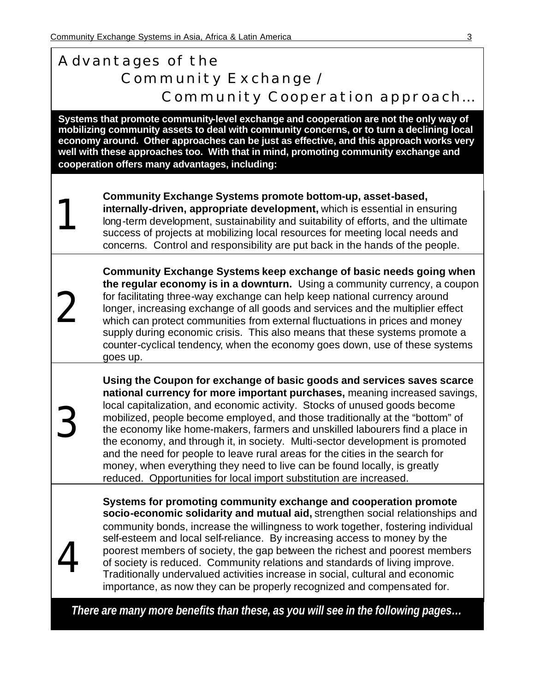1

2

3

4

# *Advantages of the Community Exchange / Community Cooperation approach…*

**Systems that promote community-level exchange and cooperation are not the only way of mobilizing community assets to deal with community concerns, or to turn a declining local economy around. Other approaches can be just as effective, and this approach works very well with these approaches too. With that in mind, promoting community exchange and cooperation offers many advantages, including:**

**Community Exchange Systems promote bottom-up, asset-based, internally-driven, appropriate development,** which is essential in ensuring long-term development, sustainability and suitability of efforts, and the ultimate success of projects at mobilizing local resources for meeting local needs and concerns. Control and responsibility are put back in the hands of the people.

**Community Exchange Systems keep exchange of basic needs going when the regular economy is in a downturn.** Using a community currency, a coupon for facilitating three-way exchange can help keep national currency around longer, increasing exchange of all goods and services and the multiplier effect which can protect communities from external fluctuations in prices and money supply during economic crisis. This also means that these systems promote a counter-cyclical tendency, when the economy goes down, use of these systems goes up.

**Using the Coupon for exchange of basic goods and services saves scarce national currency for more important purchases,** meaning increased savings, local capitalization, and economic activity. Stocks of unused goods become mobilized, people become employed, and those traditionally at the "bottom" of the economy like home-makers, farmers and unskilled labourers find a place in the economy, and through it, in society. Multi-sector development is promoted and the need for people to leave rural areas for the cities in the search for money, when everything they need to live can be found locally, is greatly reduced. Opportunities for local import substitution are increased.

**Systems for promoting community exchange and cooperation promote socio-economic solidarity and mutual aid,** strengthen social relationships and community bonds, increase the willingness to work together, fostering individual self-esteem and local self-reliance. By increasing access to money by the poorest members of society, the gap between the richest and poorest members of society is reduced. Community relations and standards of living improve. Traditionally undervalued activities increase in social, cultural and economic importance, as now they can be properly recognized and compensated for.

 *There are many more benefits than these, as you will see in the following pages…*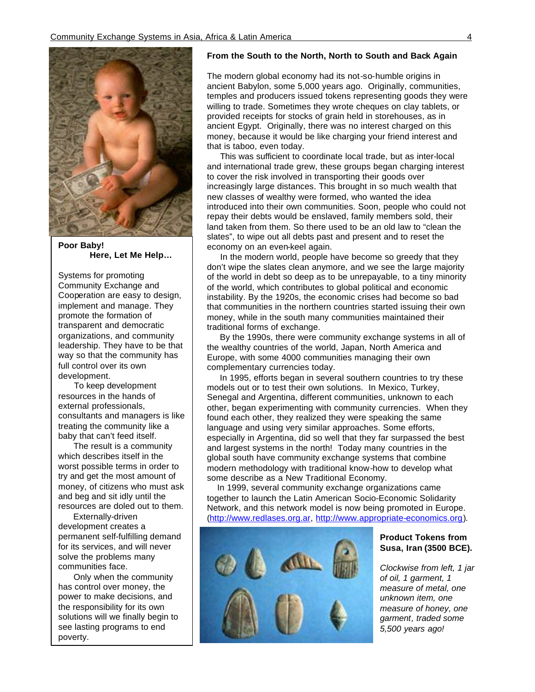

**Poor Baby! Here, Let Me Help…**

Systems for promoting Community Exchange and Cooperation are easy to design, implement and manage. They promote the formation of transparent and democratic organizations, and community leadership. They have to be that way so that the community has full control over its own development.

 To keep development resources in the hands of external professionals, consultants and managers is like treating the community like a baby that can't feed itself.

 The result is a community which describes itself in the worst possible terms in order to try and get the most amount of money, of citizens who must ask and beg and sit idly until the resources are doled out to them.

 Externally-driven development creates a permanent self-fulfilling demand for its services, and will never solve the problems many communities face.

 Only when the community has control over money, the power to make decisions, and the responsibility for its own solutions will we finally begin to see lasting programs to end poverty.

### **From the South to the North, North to South and Back Again**

The modern global economy had its not-so-humble origins in ancient Babylon, some 5,000 years ago. Originally, communities, temples and producers issued tokens representing goods they were willing to trade. Sometimes they wrote cheques on clay tablets, or provided receipts for stocks of grain held in storehouses, as in ancient Egypt. Originally, there was no interest charged on this money, because it would be like charging your friend interest and that is taboo, even today.

 This was sufficient to coordinate local trade, but as inter-local and international trade grew, these groups began charging interest to cover the risk involved in transporting their goods over increasingly large distances. This brought in so much wealth that new classes of wealthy were formed, who wanted the idea introduced into their own communities. Soon, people who could not repay their debts would be enslaved, family members sold, their land taken from them. So there used to be an old law to "clean the slates", to wipe out all debts past and present and to reset the economy on an even-keel again.

 In the modern world, people have become so greedy that they don't wipe the slates clean anymore, and we see the large majority of the world in debt so deep as to be unrepayable, to a tiny minority of the world, which contributes to global political and economic instability. By the 1920s, the economic crises had become so bad that communities in the northern countries started issuing their own money, while in the south many communities maintained their traditional forms of exchange.

 By the 1990s, there were community exchange systems in all of the wealthy countries of the world, Japan, North America and Europe, with some 4000 communities managing their own complementary currencies today.

 In 1995, efforts began in several southern countries to try these models out or to test their own solutions. In Mexico, Turkey, Senegal and Argentina, different communities, unknown to each other, began experimenting with community currencies. When they found each other, they realized they were speaking the same language and using very similar approaches. Some efforts, especially in Argentina, did so well that they far surpassed the best and largest systems in the north! Today many countries in the global south have community exchange systems that combine modern methodology with traditional know-how to develop what some describe as a New Traditional Economy.

 In 1999, several community exchange organizations came together to launch the Latin American Socio-Economic Solidarity Network, and this network model is now being promoted in Europe. (http://www.redlases.org.ar, http://www.appropriate-economics.org).



### **Product Tokens from Susa, Iran (3500 BCE).**

*Clockwise from left, 1 jar of oil, 1 garment, 1 measure of metal, one unknown item, one measure of honey, one garment, traded some 5,500 years ago!*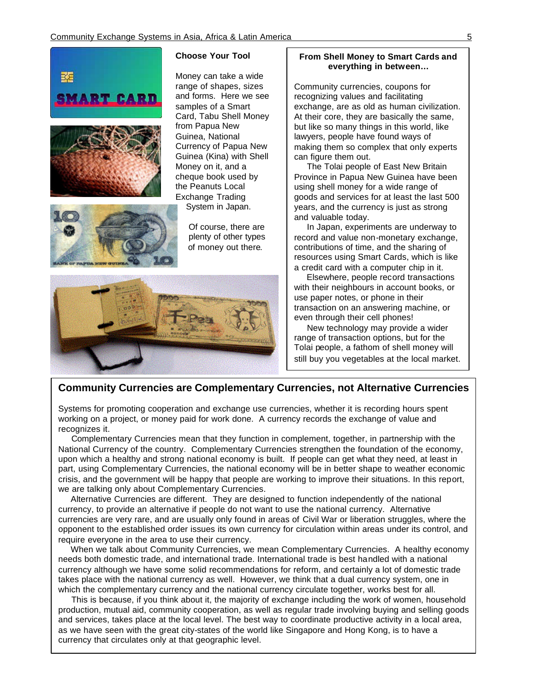





Money can take a wide range of shapes, sizes and forms. Here we see samples of a Smart Card, Tabu Shell Money from Papua New Guinea, National Currency of Papua New Guinea (Kina) with Shell Money on it, and a cheque book used by the Peanuts Local Exchange Trading System in Japan.

ĺ Of course, there are plenty of other types of money out there.



### **From Shell Money to Smart Cards and everything in between…**

Community currencies, coupons for recognizing values and facilitating exchange, are as old as human civilization. At their core, they are basically the same, but like so many things in this world, like lawyers, people have found ways of making them so complex that only experts can figure them out.

 The Tolai people of East New Britain Province in Papua New Guinea have been using shell money for a wide range of goods and services for at least the last 500 years, and the currency is just as strong and valuable today.

 In Japan, experiments are underway to record and value non-monetary exchange, contributions of time, and the sharing of resources using Smart Cards, which is like a credit card with a computer chip in it.

 Elsewhere, people record transactions with their neighbours in account books, or use paper notes, or phone in their transaction on an answering machine, or even through their cell phones!

 New technology may provide a wider range of transaction options, but for the Tolai people, a fathom of shell money will still buy you vegetables at the local market.

### **Community Currencies are Complementary Currencies, not Alternative Currencies**

Systems for promoting cooperation and exchange use currencies, whether it is recording hours spent working on a project, or money paid for work done. A currency records the exchange of value and recognizes it.

 Complementary Currencies mean that they function in complement, together, in partnership with the National Currency of the country. Complementary Currencies strengthen the foundation of the economy, upon which a healthy and strong national economy is built. If people can get what they need, at least in part, using Complementary Currencies, the national economy will be in better shape to weather economic crisis, and the government will be happy that people are working to improve their situations. In this report, we are talking only about Complementary Currencies.

 Alternative Currencies are different. They are designed to function independently of the national currency, to provide an alternative if people do not want to use the national currency. Alternative currencies are very rare, and are usually only found in areas of Civil War or liberation struggles, where the opponent to the established order issues its own currency for circulation within areas under its control, and require everyone in the area to use their currency.

 When we talk about Community Currencies, we mean Complementary Currencies. A healthy economy needs both domestic trade, and international trade. International trade is best handled with a national currency although we have some solid recommendations for reform, and certainly a lot of domestic trade takes place with the national currency as well. However, we think that a dual currency system, one in which the complementary currency and the national currency circulate together, works best for all.

 This is because, if you think about it, the majority of exchange including the work of women, household production, mutual aid, community cooperation, as well as regular trade involving buying and selling goods and services, takes place at the local level. The best way to coordinate productive activity in a local area, as we have seen with the great city-states of the world like Singapore and Hong Kong, is to have a currency that circulates only at that geographic level.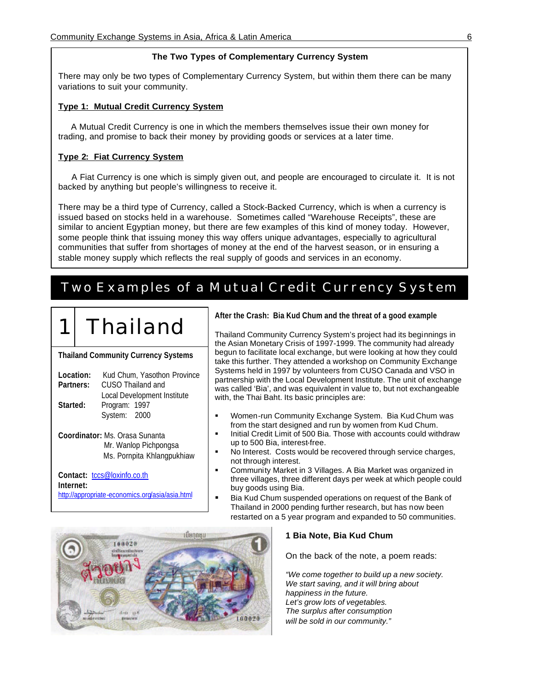### **The Two Types of Complementary Currency System**

There may only be two types of Complementary Currency System, but within them there can be many variations to suit your community.

### **Type 1: Mutual Credit Currency System**

 A Mutual Credit Currency is one in which the members themselves issue their own money for trading, and promise to back their money by providing goods or services at a later time.

### **Type 2: Fiat Currency System**

 A Fiat Currency is one which is simply given out, and people are encouraged to circulate it. It is not backed by anything but people's willingness to receive it.

There may be a third type of Currency, called a Stock-Backed Currency, which is when a currency is issued based on stocks held in a warehouse. Sometimes called "Warehouse Receipts", these are similar to ancient Egyptian money, but there are few examples of this kind of money today. However, some people think that issuing money this way offers unique advantages, especially to agricultural communities that suffer from shortages of money at the end of the harvest season, or in ensuring a stable money supply which reflects the real supply of goods and services in an economy.

# *Two Examples of a Mutual Credit Currency System*

# **Thailand**

**Thailand Community Currency Systems**

| Kud Chum, Yasothon Province<br>Location: |
|------------------------------------------|
| CUSO Thailand and                        |
| Local Development Institute              |
| Program: 1997                            |
| System: 2000                             |
|                                          |
|                                          |

**Coordinator:** Ms. Orasa Sunanta Mr. Wanlop Pichpongsa Ms. Pornpita Khlangpukhiaw

**Contact:** tccs@loxinfo.co.th **Internet:** http://appropriate-economics.org/asia/asia.html **After the Crash: Bia Kud Chum and the threat of a good example**

Thailand Community Currency System's project had its beginnings in the Asian Monetary Crisis of 1997-1999. The community had already begun to facilitate local exchange, but were looking at how they could take this further. They attended a workshop on Community Exchange Systems held in 1997 by volunteers from CUSO Canada and VSO in partnership with the Local Development Institute. The unit of exchange was called 'Bia', and was equivalent in value to, but not exchangeable with, the Thai Baht. Its basic principles are:

- ß Women-run Community Exchange System. Bia Kud Chum was from the start designed and run by women from Kud Chum.
- ß Initial Credit Limit of 500 Bia. Those with accounts could withdraw up to 500 Bia, interest-free.
- ß No Interest. Costs would be recovered through service charges, not through interest.
- ß Community Market in 3 Villages. A Bia Market was organized in three villages, three different days per week at which people could buy goods using Bia.
- ß Bia Kud Chum suspended operations on request of the Bank of Thailand in 2000 pending further research, but has now been restarted on a 5 year program and expanded to 50 communities.



#### **1 Bia Note, Bia Kud Chum**

On the back of the note, a poem reads:

*"We come together to build up a new society. We start saving, and it will bring about happiness in the future. Let's grow lots of vegetables. The surplus after consumption will be sold in our community."*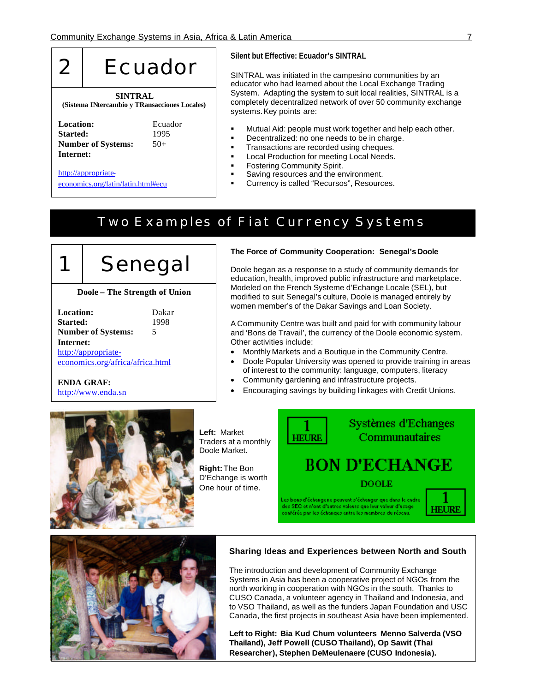

#### **Silent but Effective: Ecuador's SINTRAL**

SINTRAL was initiated in the campesino communities by an educator who had learned about the Local Exchange Trading System. Adapting the system to suit local realities, SINTRAL is a completely decentralized network of over 50 community exchange systems. Key points are:

- ß Mutual Aid: people must work together and help each other.
- ß Decentralized: no one needs to be in charge.
- ß Transactions are recorded using cheques.
- **EXECT:** Local Production for meeting Local Needs.
- **•** Fostering Community Spirit.
- **Saving resources and the environment.**
- ß Currency is called "Recursos", Resources.

# *Two Examples of Fiat Currency Systems*



### **Doole – The Strength of Union**

| <b>Location:</b>                 | Dakar |
|----------------------------------|-------|
| Started:                         | 1998  |
| <b>Number of Systems:</b>        | 5     |
| Internet:                        |       |
| http://appropriate-              |       |
| economics.org/africa/africa.html |       |

**ENDA GRAF:** http://www.enda.sn

 $\overline{\phantom{a}}$ 

#### **The Force of Community Cooperation: Senegal's Doole**

Doole began as a response to a study of community demands for education, health, improved public infrastructure and marketplace. Modeled on the French Systeme d'Echange Locale (SEL), but modified to suit Senegal's culture, Doole is managed entirely by women member's of the Dakar Savings and Loan Society.

A Community Centre was built and paid for with community labour and 'Bons de Travail', the currency of the Doole economic system. Other activities include:

- Monthly Markets and a Boutique in the Community Centre.
- Doole Popular University was opened to provide training in areas of interest to the community: language, computers, literacy
- Community gardening and infrastructure projects.
- Encouraging savings by building linkages with Credit Unions.



**Left:** Market Traders at a monthly Doole Market.

**Right:** The Bon D'Echange is worth One hour of time.

**HEURE** 

Systèmes d'Echanges Communautaires

# **BON D'ECHANGE**

**DOOLE** 

.<br>Les bons d'échangene peuvent s'échanger que dans le cadre des SEC et n'ont d'autres valeurs que leur valeur d'usage<br>conférée par les échanges entre les membres du réseau.





#### **Sharing Ideas and Experiences between North and South**

The introduction and development of Community Exchange Systems in Asia has been a cooperative project of NGOs from the north working in cooperation with NGOs in the south. Thanks to CUSO Canada, a volunteer agency in Thailand and Indonesia, and to VSO Thailand, as well as the funders Japan Foundation and USC Canada, the first projects in southeast Asia have been implemented.

**Left to Right: Bia Kud Chum volunteers Menno Salverda (VSO Thailand), Jeff Powell (CUSO Thailand), Op Sawit (Thai Researcher), Stephen DeMeulenaere (CUSO Indonesia).**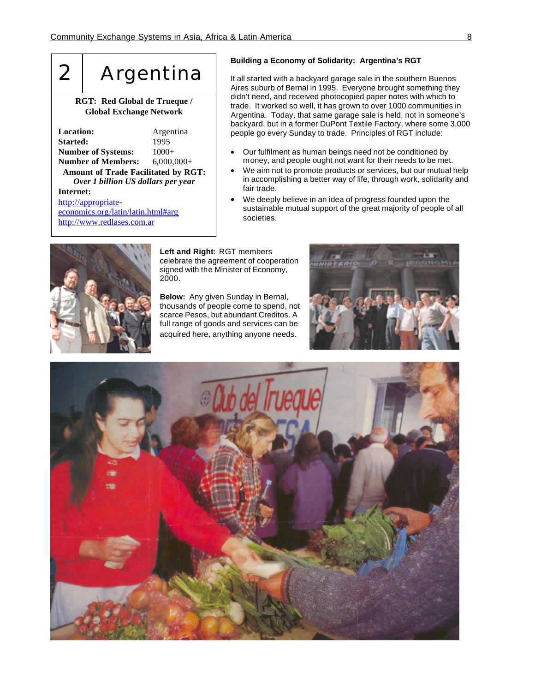# 2 | Argentina

### **RGT: Red Global de Trueque / Global Exchange Network**

| Location:                                  | Argentina    |  |
|--------------------------------------------|--------------|--|
| <b>Started:</b>                            | 1995         |  |
| <b>Number of Systems:</b>                  | $1000+$      |  |
| <b>Number of Members:</b>                  | $6,000,000+$ |  |
| <b>Amount of Trade Facilitated by RGT:</b> |              |  |
| Over 1 billion US dollars per year         |              |  |
| Internet:                                  |              |  |
| http://appropriate-                        |              |  |
| economics.org/latin/latin.html#arg         |              |  |
| http://www.redlases.com.ar                 |              |  |

### **Building a Economy of Solidarity: Argentina's RGT**

It all started with a backyard garage sale in the southern Buenos Aires suburb of Bernal in 1995. Everyone brought something they didn't need, and received photocopied paper notes with which to trade. It worked so well, it has grown to over 1000 communities in Argentina. Today, that same garage sale is held, not in someone's backyard, but in a former DuPont Textile Factory, where some 3,000 people go every Sunday to trade. Principles of RGT include:

- Our fulfilment as human beings need not be conditioned by money, and people ought not want for their needs to be met.
- We aim not to promote products or services, but our mutual help in accomplishing a better way of life, through work, solidarity and fair trade.
- We deeply believe in an idea of progress founded upon the sustainable mutual support of the great majority of people of all societies.



**Left and Right:** RGT members celebrate the agreement of cooperation signed with the Minister of Economy, 2000.

**Below:** Any given Sunday in Bernal, thousands of people come to spend, not scarce Pesos, but abundant Creditos. A full range of goods and services can be acquired here, anything anyone needs.



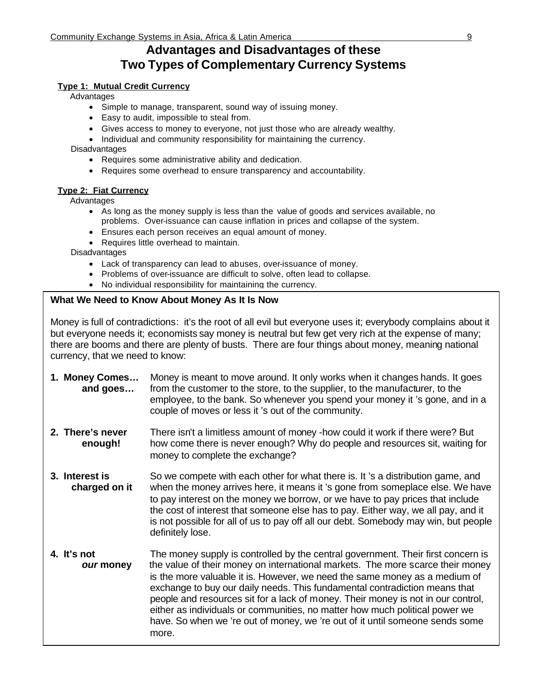## **Advantages and Disadvantages of these Two Types of Complementary Currency Systems**

### **Type 1: Mutual Credit Currency**

Advantages

- Simple to manage, transparent, sound way of issuing money.
- Easy to audit, impossible to steal from.
- Gives access to money to everyone, not just those who are already wealthy.
- Individual and community responsibility for maintaining the currency.

**Disadvantages** 

- Requires some administrative ability and dedication.
- Requires some overhead to ensure transparency and accountability.

### **Type 2: Fiat Currency**

Advantages

- As long as the money supply is less than the value of goods and services available, no problems. Over-issuance can cause inflation in prices and collapse of the system.
- Ensures each person receives an equal amount of money.
- Requires little overhead to maintain.

Disadvantages

- Lack of transparency can lead to abuses, over-issuance of money.
- Problems of over-issuance are difficult to solve, often lead to collapse.
- No individual responsibility for maintaining the currency.

### **What We Need to Know About Money As It Is Now**

Money is full of contradictions: it's the root of all evil but everyone uses it; everybody complains about it but everyone needs it; economists say money is neutral but few get very rich at the expense of many; there are booms and there are plenty of busts. There are four things about money, meaning national currency, that we need to know:

- **1. Money Comes…** Money is meant to move around. It only works when it changes hands. It goes **and goes…** from the customer to the store, to the supplier, to the manufacturer, to the employee, to the bank. So whenever you spend your money it 's gone, and in a couple of moves or less it 's out of the community.
- **2. There's never** There isn't a limitless amount of money -how could it work if there were? But **enough!** how come there is never enough? Why do people and resources sit, waiting for money to complete the exchange?
- **3. Interest is** So we compete with each other for what there is. It 's a distribution game, and **charged on it** when the money arrives here, it means it 's gone from someplace else. We have to pay interest on the money we borrow, or we have to pay prices that include the cost of interest that someone else has to pay. Either way, we all pay, and it is not possible for all of us to pay off all our debt. Somebody may win, but people definitely lose.
- **4. It's not** The money supply is controlled by the central government. Their first concern is *our* money the value of their money on international markets. The more scarce their money is the more valuable it is. However, we need the same money as a medium of exchange to buy our daily needs. This fundamental contradiction means that people and resources sit for a lack of money. Their money is not in our control, either as individuals or communities, no matter how much political power we have. So when we 're out of money, we 're out of it until someone sends some more.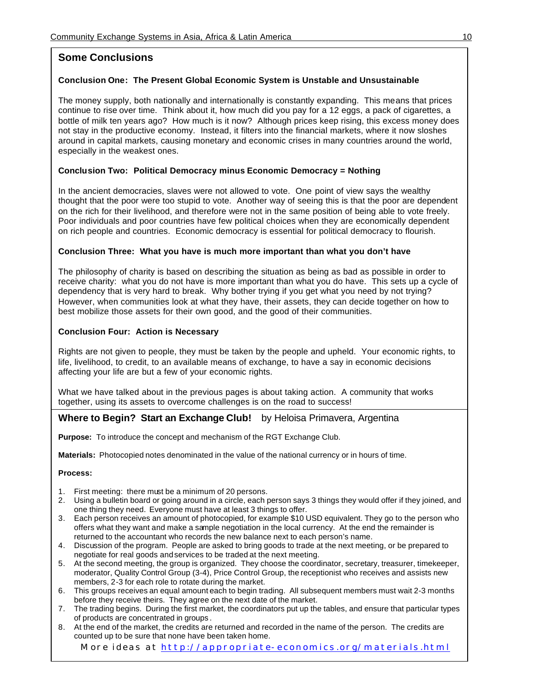### **Some Conclusions**

### **Conclusion One: The Present Global Economic System is Unstable and Unsustainable**

The money supply, both nationally and internationally is constantly expanding. This means that prices continue to rise over time. Think about it, how much did you pay for a 12 eggs, a pack of cigarettes, a bottle of milk ten years ago? How much is it now? Although prices keep rising, this excess money does not stay in the productive economy. Instead, it filters into the financial markets, where it now sloshes around in capital markets, causing monetary and economic crises in many countries around the world, especially in the weakest ones.

### **Conclusion Two: Political Democracy minus Economic Democracy = Nothing**

In the ancient democracies, slaves were not allowed to vote. One point of view says the wealthy thought that the poor were too stupid to vote. Another way of seeing this is that the poor are dependent on the rich for their livelihood, and therefore were not in the same position of being able to vote freely. Poor individuals and poor countries have few political choices when they are economically dependent on rich people and countries. Economic democracy is essential for political democracy to flourish.

### **Conclusion Three: What you have is much more important than what you don't have**

The philosophy of charity is based on describing the situation as being as bad as possible in order to receive charity: what you do not have is more important than what you do have. This sets up a cycle of dependency that is very hard to break. Why bother trying if you get what you need by not trying? However, when communities look at what they have, their assets, they can decide together on how to best mobilize those assets for their own good, and the good of their communities.

### **Conclusion Four: Action is Necessary**

Rights are not given to people, they must be taken by the people and upheld. Your economic rights, to life, livelihood, to credit, to an available means of exchange, to have a say in economic decisions affecting your life are but a few of your economic rights.

What we have talked about in the previous pages is about taking action. A community that works together, using its assets to overcome challenges is on the road to success!

### **Where to Begin? Start an Exchange Club!** by Heloisa Primavera, Argentina

**Purpose:** To introduce the concept and mechanism of the RGT Exchange Club.

**Materials:** Photocopied notes denominated in the value of the national currency or in hours of time.

#### **Process:**

- 1. First meeting: there must be a minimum of 20 persons.
- 2. Using a bulletin board or going around in a circle, each person says 3 things they would offer if they joined, and one thing they need. Everyone must have at least 3 things to offer.
- 3. Each person receives an amount of photocopied, for example \$10 USD equivalent. They go to the person who offers what they want and make a sample negotiation in the local currency. At the end the remainder is returned to the accountant who records the new balance next to each person's name.
- 4. Discussion of the program. People are asked to bring goods to trade at the next meeting, or be prepared to negotiate for real goods and services to be traded at the next meeting.
- 5. At the second meeting, the group is organized. They choose the coordinator, secretary, treasurer, timekeeper, moderator, Quality Control Group (3-4), Price Control Group, the receptionist who receives and assists new members, 2-3 for each role to rotate during the market.
- 6. This groups receives an equal amount each to begin trading. All subsequent members must wait 2-3 months before they receive theirs. They agree on the next date of the market.
- 7. The trading begins. During the first market, the coordinators put up the tables, and ensure that particular types of products are concentrated in groups .
- 8. At the end of the market, the credits are returned and recorded in the name of the person. The credits are counted up to be sure that none have been taken home.

 *More ideas at http://appropriate-economics.org/materials.html*